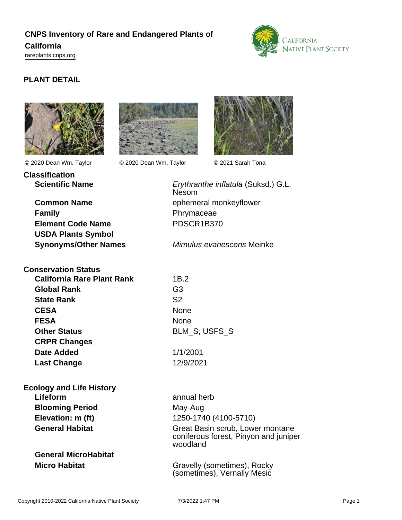# **CNPS Inventory of Rare and Endangered Plants of California**



<rareplants.cnps.org>

## **PLANT DETAIL**



**Classification**

**Family Phrymaceae Element Code Name** PDSCR1B370 **USDA Plants Symbol**

**Conservation Status California Rare Plant Rank** 1B.2

**Global Rank** G3 **State Rank** S2 **CESA** None **FESA** None **Other Status** BLM\_S; USFS\_S **CRPR Changes Date Added** 1/1/2001 **Last Change** 12/9/2021

**Ecology and Life History Lifeform** annual herb **Blooming Period** May-Aug

**General MicroHabitat**



© 2020 Dean Wm. Taylor © 2020 Dean Wm. Taylor © 2021 Sarah Tona



**Scientific Name** Erythranthe inflatula (Suksd.) G.L. Nesom **Common Name** ephemeral monkeyflower

**Synonyms/Other Names** Mimulus evanescens Meinke

**Elevation: m (ft)** 1250-1740 (4100-5710) General Habitat **Great Basin scrub, Lower montane** coniferous forest, Pinyon and juniper woodland

**Micro Habitat** Gravelly (sometimes), Rocky (sometimes), Vernally Mesic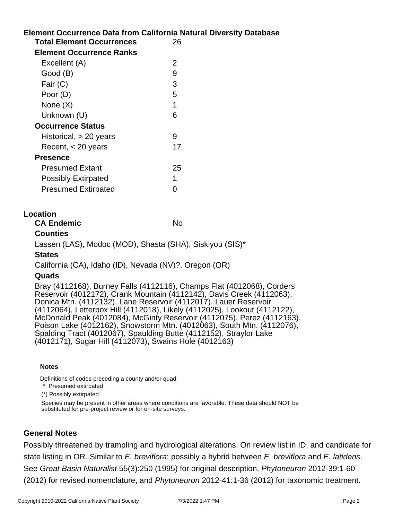## **Element Occurrence Data from California Natural Diversity Database Total Element Occurrences** 26 **Element Occurrence Ranks** Excellent (A) 2 Good (B) 9 Fair (C) 3 Poor (D) 5 None  $(X)$  1 Unknown (U) 6 **Occurrence Status** Historical, > 20 years 9 Recent, < 20 years 17 **Presence** Presumed Extant 25 Possibly Extirpated 1 Presumed Extirpated 0

#### **Location**

**CA Endemic** No. No.

### **Counties**

Lassen (LAS), Modoc (MOD), Shasta (SHA), Siskiyou (SIS)\*

### **States**

California (CA), Idaho (ID), Nevada (NV)?, Oregon (OR)

### **Quads**

Bray (4112168), Burney Falls (4112116), Champs Flat (4012068), Corders Reservoir (4012172), Crank Mountain (4112142), Davis Creek (4112063), Donica Mtn. (4112132), Lane Reservoir (4112017), Lauer Reservoir (4112064), Letterbox Hill (4112018), Likely (4112025), Lookout (4112122), McDonald Peak (4012084), McGinty Reservoir (4112075), Perez (4112163), Poison Lake (4012162), Snowstorm Mtn. (4012063), South Mtn. (4112076), Spalding Tract (4012067), Spaulding Butte (4112152), Straylor Lake (4012171), Sugar Hill (4112073), Swains Hole (4012163)

#### **Notes**

Definitions of codes preceding a county and/or quad:

\* Presumed extirpated

(\*) Possibly extirpated

Species may be present in other areas where conditions are favorable. These data should NOT be substituted for pre-project review or for on-site surveys.

### **General Notes**

Possibly threatened by trampling and hydrological alterations. On review list in ID, and candidate for state listing in OR. Similar to E. breviflora; possibly a hybrid between E. breviflora and E. latidens. See Great Basin Naturalist 55(3):250 (1995) for original description, Phytoneuron 2012-39:1-60 (2012) for revised nomenclature, and Phytoneuron 2012-41:1-36 (2012) for taxonomic treatment.